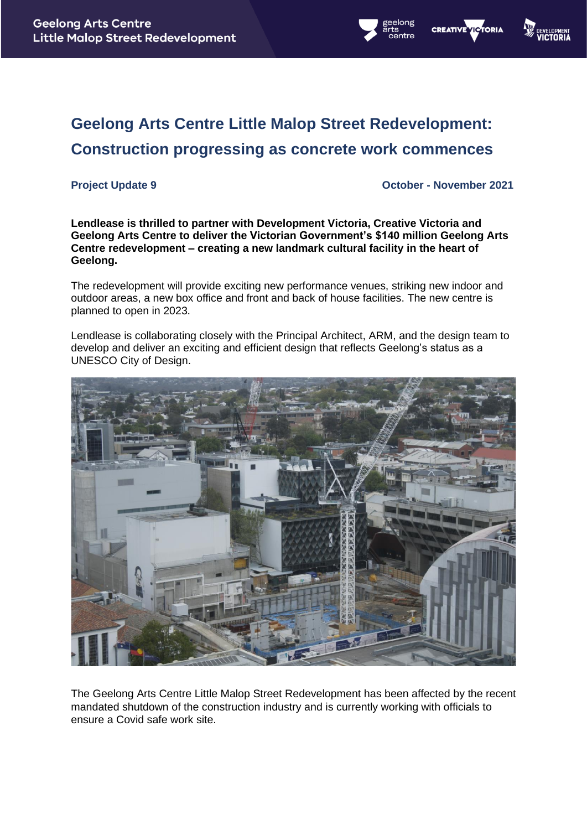



# **Geelong Arts Centre Little Malop Street Redevelopment: Construction progressing as concrete work commences**

**Project Update 9 October - November 2021**

**Lendlease is thrilled to partner with Development Victoria, Creative Victoria and Geelong Arts Centre to deliver the Victorian Government's \$140 million Geelong Arts Centre redevelopment – creating a new landmark cultural facility in the heart of Geelong.** 

The redevelopment will provide exciting new performance venues, striking new indoor and outdoor areas, a new box office and front and back of house facilities. The new centre is planned to open in 2023.

Lendlease is collaborating closely with the Principal Architect, ARM, and the design team to develop and deliver an exciting and efficient design that reflects Geelong's status as a UNESCO City of Design.



The Geelong Arts Centre Little Malop Street Redevelopment has been affected by the recent mandated shutdown of the construction industry and is currently working with officials to ensure a Covid safe work site.